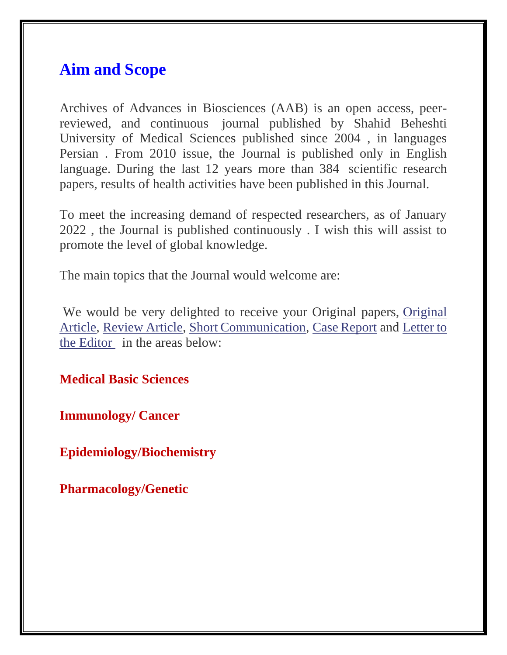## **Aim and Scope**

Archives of Advances in Biosciences (AAB) is an open access, peerreviewed, and continuous journal published by Shahid Beheshti University of Medical Sciences published since 2004 , in languages Persian . From 2010 issue, the Journal is published only in English language. During the last 12 years more than 384 scientific research papers, results of health activities have been published in this Journal.

To meet the increasing demand of respected researchers, as of January 2022 , the Journal is published continuously . I wish this will assist to promote the level of global knowledge.

The main topics that the Journal would welcome are:

We would be very delighted to receive your Original papers, [Original](https://journals.sbmu.ac.ir/aab/libraryFiles/downloadPublic/423)  [Article,](https://journals.sbmu.ac.ir/aab/libraryFiles/downloadPublic/423) [Review Article,](https://journals.sbmu.ac.ir/aab/libraryFiles/downloadPublic/424) [Short Communication,](https://journals.sbmu.ac.ir/aab/libraryFiles/downloadPublic/427) [Case Report](https://journals.sbmu.ac.ir/aab/libraryFiles/downloadPublic/422) and [Letter to](https://journals.sbmu.ac.ir/aab/libraryFiles/downloadPublic/425)  the [Editor](https://journals.sbmu.ac.ir/aab/libraryFiles/downloadPublic/425) in the areas below:

**Medical Basic Sciences**

**Immunology/ Cancer**

**Epidemiology/Biochemistry**

**Pharmacology/Genetic**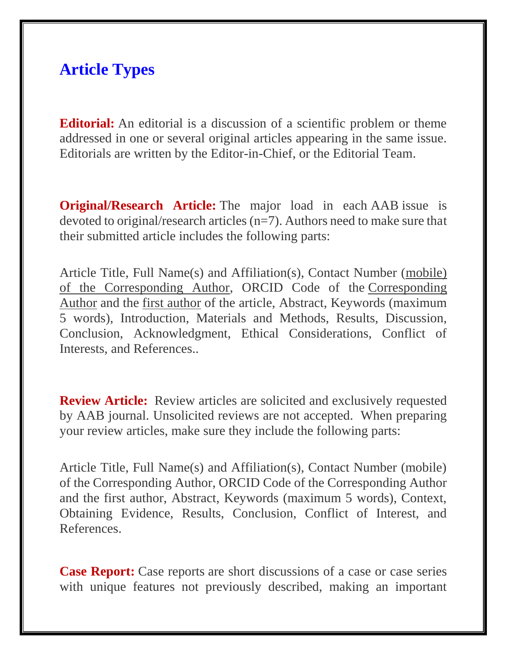## **Article Types**

**Editorial:** An editorial is a discussion of a scientific problem or theme addressed in one or several original articles appearing in the same issue. Editorials are written by the Editor-in-Chief, or the Editorial Team.

**Original/Research Article:** The major load in each AAB issue is devoted to original/research articles (n=7). Authors need to make sure that their submitted article includes the following parts:

Article Title, Full Name(s) and Affiliation(s), Contact Number (mobile) of the Corresponding Author, ORCID Code of the Corresponding Author and the first author of the article, Abstract, Keywords (maximum 5 words), Introduction, Materials and Methods, Results, Discussion, Conclusion, Acknowledgment, Ethical Considerations, Conflict of Interests, and References..

**Review Article:** Review articles are solicited and exclusively requested by AAB journal. Unsolicited reviews are not accepted. When preparing your review articles, make sure they include the following parts:

Article Title, Full Name(s) and Affiliation(s), Contact Number (mobile) of the Corresponding Author, ORCID Code of the Corresponding Author and the first author, Abstract, Keywords (maximum 5 words), Context, Obtaining Evidence, Results, Conclusion, Conflict of Interest, and References.

**Case Report:** Case reports are short discussions of a case or case series with unique features not previously described, making an important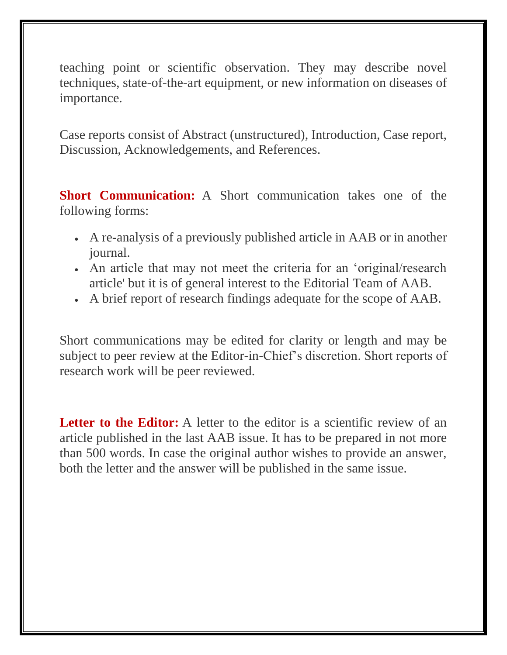teaching point or scientific observation. They may describe novel techniques, state-of-the-art equipment, or new information on diseases of importance.

Case reports consist of Abstract (unstructured), Introduction, Case report, Discussion, Acknowledgements, and References.

**Short Communication:** A Short communication takes one of the following forms:

- A re-analysis of a previously published article in AAB or in another journal.
- An article that may not meet the criteria for an 'original/research article' but it is of general interest to the Editorial Team of AAB.
- A brief report of research findings adequate for the scope of AAB.

Short communications may be edited for clarity or length and may be subject to peer review at the Editor-in-Chief's discretion. Short reports of research work will be peer reviewed.

**Letter to the Editor:** A letter to the editor is a scientific review of an article published in the last AAB issue. It has to be prepared in not more than 500 words. In case the original author wishes to provide an answer, both the letter and the answer will be published in the same issue.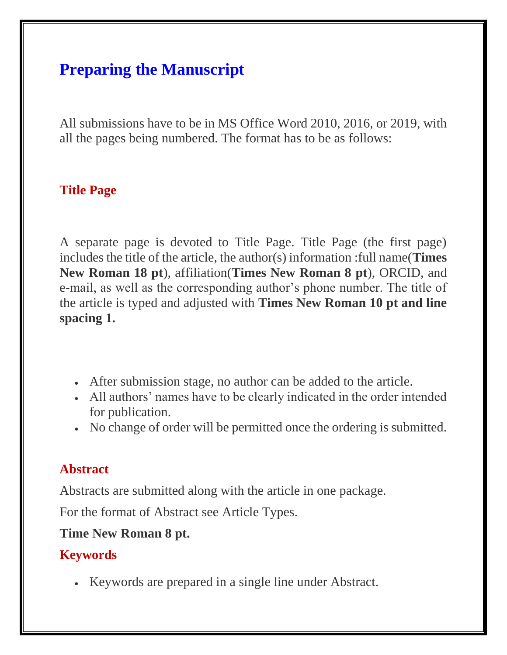# **Preparing the Manuscript**

All submissions have to be in MS Office Word 2010, 2016, or 2019, with all the pages being numbered. The format has to be as follows:

#### **Title Page**

A separate page is devoted to Title Page. Title Page (the first page) includes the title of the article, the author(s) information :full name(**Times New Roman 18 pt**), affiliation(**Times New Roman 8 pt**), ORCID, and e-mail, as well as the corresponding author's phone number. The title of the article is typed and adjusted with **Times New Roman 10 pt and line spacing 1.**

- After submission stage, no author can be added to the article.
- All authors' names have to be clearly indicated in the order intended for publication.
- No change of order will be permitted once the ordering is submitted.

#### **Abstract**

Abstracts are submitted along with the article in one package.

For the format of Abstract see Article Types.

#### **Time New Roman 8 pt.**

#### **Keywords**

• Keywords are prepared in a single line under Abstract.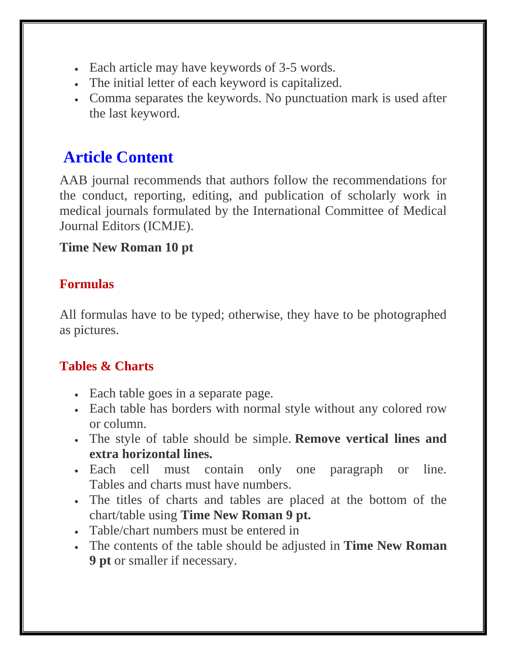- Each article may have keywords of 3-5 words.
- The initial letter of each keyword is capitalized.
- Comma separates the keywords. No punctuation mark is used after the last keyword.

# **Article Content**

AAB journal recommends that authors follow the recommendations for the conduct, reporting, editing, and publication of scholarly work in medical journals formulated by the International Committee of Medical Journal Editors (ICMJE).

### **Time New Roman 10 pt**

## **Formulas**

All formulas have to be typed; otherwise, they have to be photographed as pictures.

## **Tables & Charts**

- Each table goes in a separate page.
- Each table has borders with normal style without any colored row or column.
- The style of table should be simple. **Remove vertical lines and extra horizontal lines.**
- Each cell must contain only one paragraph or line. Tables and charts must have numbers.
- The titles of charts and tables are placed at the bottom of the chart/table using **Time New Roman 9 pt.**
- Table/chart numbers must be entered in
- The contents of the table should be adjusted in **Time New Roman 9 pt** or smaller if necessary.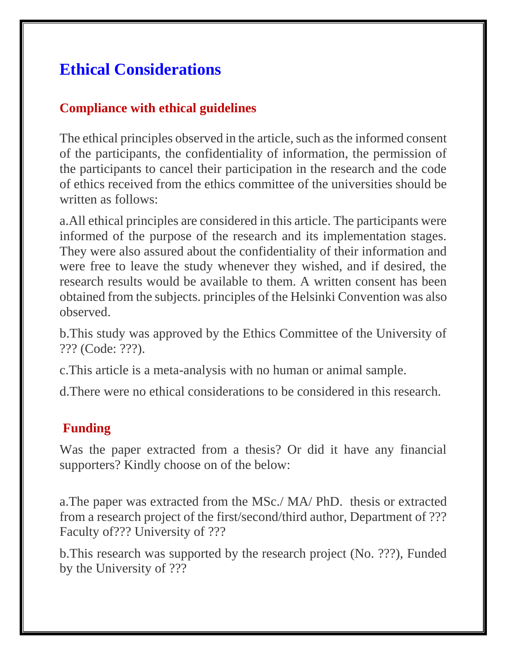# **Ethical Considerations**

### **Compliance with ethical guidelines**

The ethical principles observed in the article, such as the informed consent of the participants, the confidentiality of information, the permission of the participants to cancel their participation in the research and the code of ethics received from the ethics committee of the universities should be written as follows:

a.All ethical principles are considered in this article. The participants were informed of the purpose of the research and its implementation stages. They were also assured about the confidentiality of their information and were free to leave the study whenever they wished, and if desired, the research results would be available to them. A written consent has been obtained from the subjects. principles of the Helsinki Convention was also observed.

b.This study was approved by the Ethics Committee of the University of ??? (Code: ???).

c.This article is a meta-analysis with no human or animal sample.

d.There were no ethical considerations to be considered in this research.

### **Funding**

Was the paper extracted from a thesis? Or did it have any financial supporters? Kindly choose on of the below:

a.The paper was extracted from the MSc./ MA/ PhD. thesis or extracted from a research project of the first/second/third author, Department of ??? Faculty of??? University of ???

b.This research was supported by the research project (No. ???), Funded by the University of ???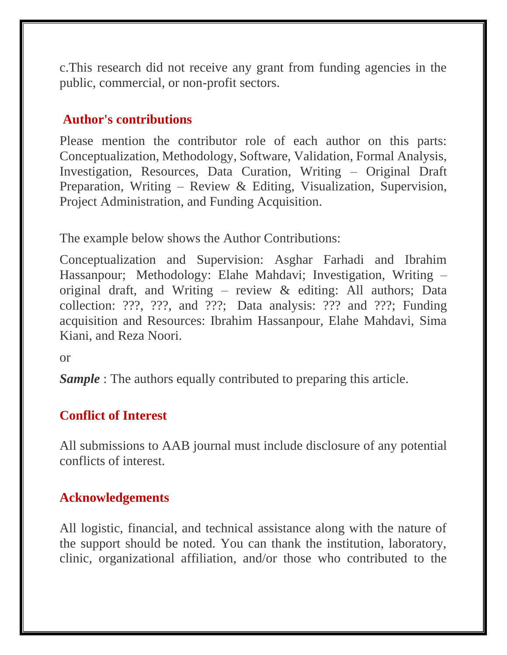c.This research did not receive any grant from funding agencies in the public, commercial, or non-profit sectors.

#### **Author's contributions**

Please mention the contributor role of each author on this parts: Conceptualization, Methodology, Software, Validation, Formal Analysis, Investigation, Resources, Data Curation, Writing – Original Draft Preparation, Writing – Review & Editing, Visualization, Supervision, Project Administration, and Funding Acquisition.

The example below shows the Author Contributions:

Conceptualization and Supervision: Asghar Farhadi and Ibrahim Hassanpour; Methodology: Elahe Mahdavi; Investigation, Writing – original draft, and Writing – review & editing: All authors; Data collection: ???, ???, and ???; Data analysis: ??? and ???; Funding acquisition and Resources: Ibrahim Hassanpour, Elahe Mahdavi, Sima Kiani, and Reza Noori.

or

*Sample* : The authors equally contributed to preparing this article.

#### **Conflict of Interest**

All submissions to AAB journal must include disclosure of any potential conflicts of interest.

### **Acknowledgements**

All logistic, financial, and technical assistance along with the nature of the support should be noted. You can thank the institution, laboratory, clinic, organizational affiliation, and/or those who contributed to the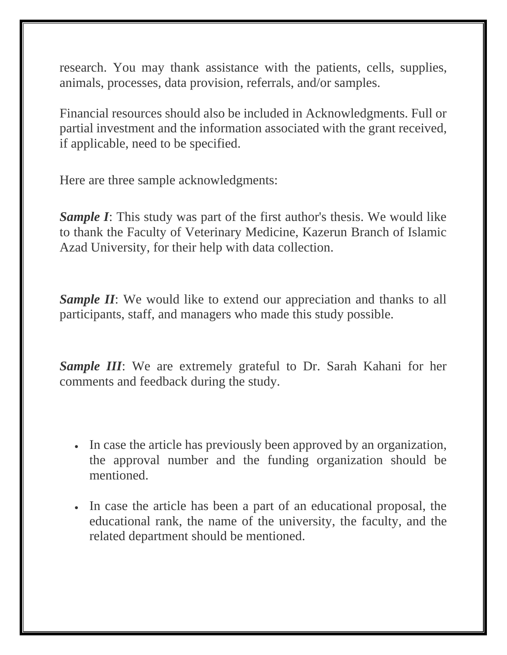research. You may thank assistance with the patients, cells, supplies, animals, processes, data provision, referrals, and/or samples.

Financial resources should also be included in Acknowledgments. Full or partial investment and the information associated with the grant received, if applicable, need to be specified.

Here are three sample acknowledgments:

*Sample I*: This study was part of the first author's thesis. We would like to thank the Faculty of Veterinary Medicine, Kazerun Branch of Islamic Azad University, for their help with data collection.

*Sample II*: We would like to extend our appreciation and thanks to all participants, staff, and managers who made this study possible.

*Sample III*: We are extremely grateful to Dr. Sarah Kahani for her comments and feedback during the study.

- In case the article has previously been approved by an organization, the approval number and the funding organization should be mentioned.
- In case the article has been a part of an educational proposal, the educational rank, the name of the university, the faculty, and the related department should be mentioned.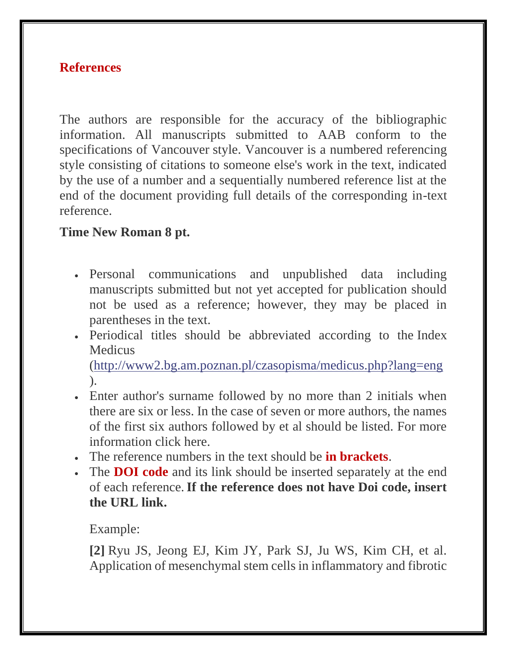#### **References**

The authors are responsible for the accuracy of the bibliographic information. All manuscripts submitted to AAB conform to the specifications of Vancouver style. Vancouver is a numbered referencing style consisting of citations to someone else's work in the text, indicated by the use of a number and a sequentially numbered reference list at the end of the document providing full details of the corresponding in-text reference.

#### **Time New Roman 8 pt.**

- Personal communications and unpublished data including manuscripts submitted but not yet accepted for publication should not be used as a reference; however, they may be placed in parentheses in the text.
- Periodical titles should be abbreviated according to the Index **Medicus**

[\(http://www2.bg.am.poznan.pl/czasopisma/medicus.php?lang=eng](http://www2.bg.am.poznan.pl/czasopisma/medicus.php?lang=eng) ).

- Enter author's surname followed by no more than 2 initials when there are six or less. In the case of seven or more authors, the names of the first six authors followed by et al should be listed. For more information click here.
- The reference numbers in the text should be **in brackets**.
- The **DOI code** and its link should be inserted separately at the end of each reference.**If the reference does not have Doi code, insert the URL link.**

Example:

**[2]** Ryu JS, Jeong EJ, Kim JY, Park SJ, Ju WS, Kim CH, et al. Application of mesenchymal stem cells in inflammatory and fibrotic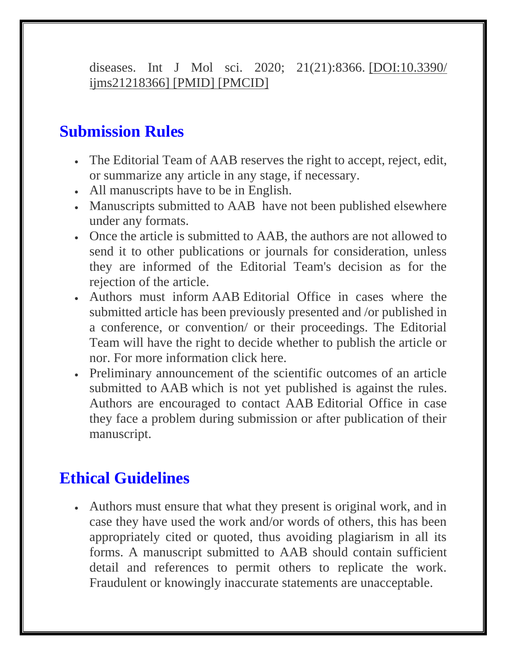diseases. Int J Mol sci. 2020; 21(21):8366. [DOI:10.3390/ ijms21218366] [PMID] [PMCID]

## **Submission Rules**

- The Editorial Team of AAB reserves the right to accept, reject, edit, or summarize any article in any stage, if necessary.
- All manuscripts have to be in English.
- Manuscripts submitted to AAB have not been published elsewhere under any formats.
- Once the article is submitted to AAB, the authors are not allowed to send it to other publications or journals for consideration, unless they are informed of the Editorial Team's decision as for the rejection of the article.
- Authors must inform AAB Editorial Office in cases where the submitted article has been previously presented and /or published in a conference, or convention/ or their proceedings. The Editorial Team will have the right to decide whether to publish the article or nor. For more information click here.
- Preliminary announcement of the scientific outcomes of an article submitted to AAB which is not yet published is against the rules. Authors are encouraged to contact AAB Editorial Office in case they face a problem during submission or after publication of their manuscript.

# **Ethical Guidelines**

• Authors must ensure that what they present is original work, and in case they have used the work and/or words of others, this has been appropriately cited or quoted, thus avoiding plagiarism in all its forms. A manuscript submitted to AAB should contain sufficient detail and references to permit others to replicate the work. Fraudulent or knowingly inaccurate statements are unacceptable.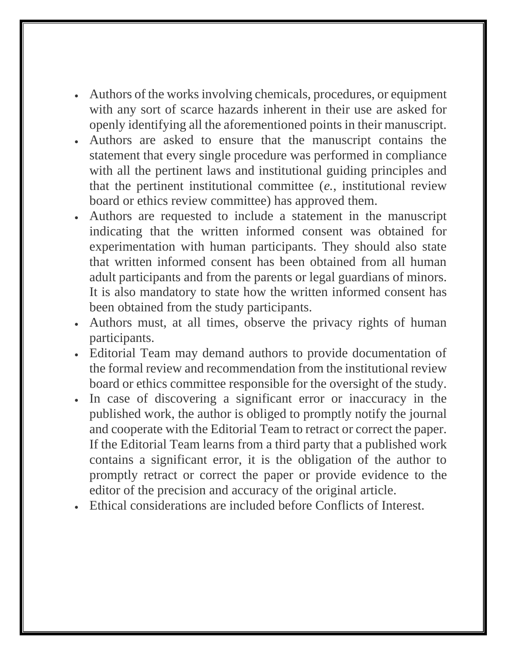- Authors of the works involving chemicals, procedures, or equipment with any sort of scarce hazards inherent in their use are asked for openly identifying all the aforementioned points in their manuscript.
- Authors are asked to ensure that the manuscript contains the statement that every single procedure was performed in compliance with all the pertinent laws and institutional guiding principles and that the pertinent institutional committee (*e.*, institutional review board or ethics review committee) has approved them.
- Authors are requested to include a statement in the manuscript indicating that the written informed consent was obtained for experimentation with human participants. They should also state that written informed consent has been obtained from all human adult participants and from the parents or legal guardians of minors. It is also mandatory to state how the written informed consent has been obtained from the study participants.
- Authors must, at all times, observe the privacy rights of human participants.
- Editorial Team may demand authors to provide documentation of the formal review and recommendation from the institutional review board or ethics committee responsible for the oversight of the study.
- In case of discovering a significant error or inaccuracy in the published work, the author is obliged to promptly notify the journal and cooperate with the Editorial Team to retract or correct the paper. If the Editorial Team learns from a third party that a published work contains a significant error, it is the obligation of the author to promptly retract or correct the paper or provide evidence to the editor of the precision and accuracy of the original article.
- Ethical considerations are included before Conflicts of Interest.